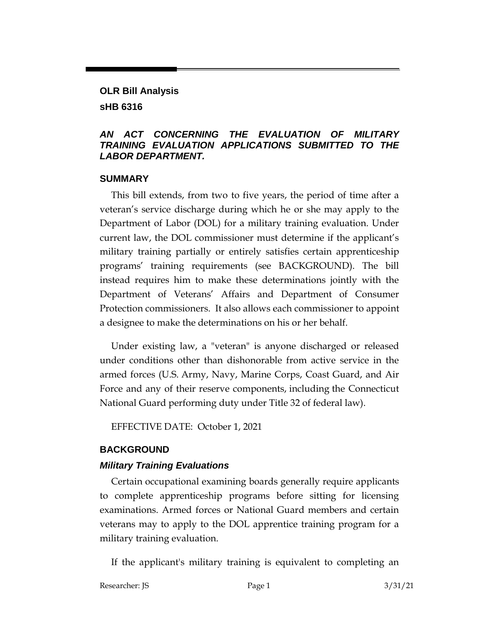# **OLR Bill Analysis sHB 6316**

#### *AN ACT CONCERNING THE EVALUATION OF MILITARY TRAINING EVALUATION APPLICATIONS SUBMITTED TO THE LABOR DEPARTMENT.*

#### **SUMMARY**

This bill extends, from two to five years, the period of time after a veteran's service discharge during which he or she may apply to the Department of Labor (DOL) for a military training evaluation. Under current law, the DOL commissioner must determine if the applicant's military training partially or entirely satisfies certain apprenticeship programs' training requirements (see BACKGROUND). The bill instead requires him to make these determinations jointly with the Department of Veterans' Affairs and Department of Consumer Protection commissioners. It also allows each commissioner to appoint a designee to make the determinations on his or her behalf.

Under existing law, a "veteran" is anyone discharged or released under conditions other than dishonorable from active service in the armed forces (U.S. Army, Navy, Marine Corps, Coast Guard, and Air Force and any of their reserve components, including the Connecticut National Guard performing duty under Title 32 of federal law).

EFFECTIVE DATE: October 1, 2021

## **BACKGROUND**

## *Military Training Evaluations*

Certain occupational examining boards generally require applicants to complete apprenticeship programs before sitting for licensing examinations. Armed forces or National Guard members and certain veterans may to apply to the DOL apprentice training program for a military training evaluation.

If the applicant's military training is equivalent to completing an

Researcher: JS **Page 1** 3/31/21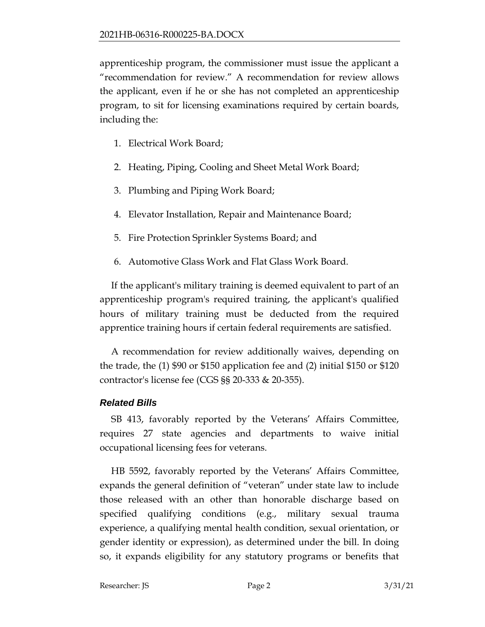apprenticeship program, the commissioner must issue the applicant a "recommendation for review." A recommendation for review allows the applicant, even if he or she has not completed an apprenticeship program, to sit for licensing examinations required by certain boards, including the:

- 1. Electrical Work Board;
- 2. Heating, Piping, Cooling and Sheet Metal Work Board;
- 3. Plumbing and Piping Work Board;
- 4. Elevator Installation, Repair and Maintenance Board;
- 5. Fire Protection Sprinkler Systems Board; and
- 6. Automotive Glass Work and Flat Glass Work Board.

If the applicant's military training is deemed equivalent to part of an apprenticeship program's required training, the applicant's qualified hours of military training must be deducted from the required apprentice training hours if certain federal requirements are satisfied.

A recommendation for review additionally waives, depending on the trade, the (1) \$90 or \$150 application fee and (2) initial \$150 or \$120 contractor's license fee (CGS §§ 20-333 & 20-355).

## *Related Bills*

SB 413, favorably reported by the Veterans' Affairs Committee, requires 27 state agencies and departments to waive initial occupational licensing fees for veterans.

HB 5592, favorably reported by the Veterans' Affairs Committee, expands the general definition of "veteran" under state law to include those released with an other than honorable discharge based on specified qualifying conditions (e.g., military sexual trauma experience, a qualifying mental health condition, sexual orientation, or gender identity or expression), as determined under the bill. In doing so, it expands eligibility for any statutory programs or benefits that